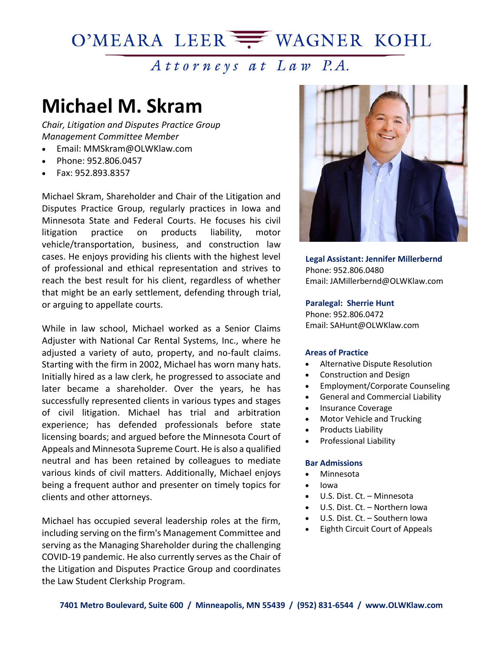## O'MEARA LEER WAGNER KOHL

## Attorneys at Law P.A.

# **Michael M. Skram**

*Chair, Litigation and Disputes Practice Group Management Committee Member*

- Email: MMSkram@OLWKlaw.com
- Phone: [952.806.0457](tel:952.806.0457)
- Fax: [952.893.8357](tel:952.893.8357)

Michael Skram, Shareholder and Chair of the Litigation and Disputes Practice Group, regularly practices in Iowa and Minnesota State and Federal Courts. He focuses his civil litigation practice on products liability, motor vehicle/transportation, business, and construction law cases. He enjoys providing his clients with the highest level of professional and ethical representation and strives to reach the best result for his client, regardless of whether that might be an early settlement, defending through trial, or arguing to appellate courts.

While in law school, Michael worked as a Senior Claims Adjuster with National Car Rental Systems, Inc., where he adjusted a variety of auto, property, and no-fault claims. Starting with the firm in 2002, Michael has worn many hats. Initially hired as a law clerk, he progressed to associate and later became a shareholder. Over the years, he has successfully represented clients in various types and stages of civil litigation. Michael has trial and arbitration experience; has defended professionals before state licensing boards; and argued before the Minnesota Court of Appeals and Minnesota Supreme Court. He is also a qualified neutral and has been retained by colleagues to mediate various kinds of civil matters. Additionally, Michael enjoys being a frequent author and presenter on timely topics for clients and other attorneys.

Michael has occupied several leadership roles at the firm, including serving on the firm's Management Committee and serving as the Managing Shareholder during the challenging COVID-19 pandemic. He also currently serves as the Chair of the Litigation and Disputes Practice Group and coordinates the Law Student Clerkship Program.



**Legal Assistant: Jennifer Millerbernd** Phone: [952.806.0480](tel:952.806.0480) Email: [JAMillerbernd@OLWKlaw.com](mailto:JAMillerbernd@OLWKlaw.com)

#### **Paralegal: Sherrie Hunt**

Phone: 952.806.0472 Email: SAHunt@OLWKlaw.com

#### **Areas of Practice**

- Alternative Dispute Resolution
- Construction and Design
- Employment/Corporate Counseling
- General and Commercial Liability
- Insurance Coverage
- Motor Vehicle and Trucking
- Products Liability
- Professional Liability

#### **Bar Admissions**

- Minnesota
- Iowa
- U.S. Dist. Ct. Minnesota
- U.S. Dist. Ct. Northern Iowa
- U.S. Dist. Ct. Southern Iowa
- Eighth Circuit Court of Appeals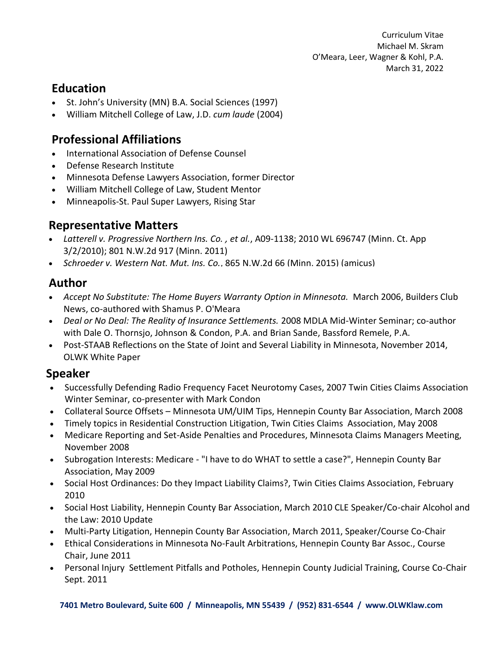Curriculum Vitae Michael M. Skram O'Meara, Leer, Wagner & Kohl, P.A. March 31, 2022

### **Education**

- St. John's University (MN) B.A. Social Sciences (1997)
- William Mitchell College of Law, J.D. *cum laude* (2004)

## **Professional Affiliations**

- International Association of Defense Counsel
- Defense Research Institute
- Minnesota Defense Lawyers Association, former Director
- William Mitchell College of Law, Student Mentor
- Minneapolis-St. Paul Super Lawyers, Rising Star

#### **Representative Matters**

- *Latterell v. Progressive Northern Ins. Co. , et al.*, A09-1138; 2010 WL 696747 (Minn. Ct. App 3/2/2010); 801 N.W.2d 917 (Minn. 2011)
- *Schroeder v. Western Nat. Mut. Ins. Co.*, 865 N.W.2d 66 (Minn. 2015) (amicus)

#### **Author**

- *Accept No Substitute: The Home Buyers Warranty Option in Minnesota.* March 2006, Builders Club News, co-authored with Shamus P. O'Meara
- *Deal or No Deal: The Reality of Insurance Settlements.* 2008 MDLA Mid-Winter Seminar; co-author with Dale O. Thornsjo, Johnson & Condon, P.A. and Brian Sande, Bassford Remele, P.A.
- Post-STAAB Reflections on the State of Joint and Several Liability in Minnesota, November 2014, OLWK White Paper

#### **Speaker**

- **.**<br>• Successfully Defending Radio Frequency Facet Neurotomy Cases, 2007 Twin Cities Claims Association winter Seminar, co-presenter with Mark Condon
- **DEALITY OF A THE REALITY OF THE REALITY OF THE Reality OF A**<br>**Collateral Source Offsets Minnesota UM/UIM Tips, Hennepin County Bar Association, March 2008**
- author with Dale O. Thomas Condon, P.A. and Brian Sande, P.A. and Brian Sande, P.A. and Brian Sande, P.A. and B<br>Timely topics in Residential Construction Litigation, Twin Cities Claims Association, May 2008
- Accept No. 2006, Building and Sat-Acide Densities and Drocedures, Minnesota. Claims Managers Meeting.<br>Medicare Reporting and Set-Acide Denalties and Drocedures, Minnesota Claims Managers Meeting • Medicare Reporting and Set-Aside Penalties and Procedures, Minnesota Claims Managers Meeting,<br>November 2008 November 2008
- Subrogation Interests: Medicare "I have to do WHAT to settle a case?", Hennepin County Bar Association, May 2009
- Social Host Ordinances: Do they Impact Liability Claims?, Twin Cities Claims Association, February 2010
- Social Host Liability, Hennepin County Bar Association, March 2010 CLE Speaker/Co-chair Alcohol and the Law: 2010 Update
- Multi-Party Litigation, Hennepin County Bar Association, March 2011, Speaker/Course Co-Chair
- Ethical Considerations in Minnesota No-Fault Arbitrations, Hennepin County Bar Assoc., Course Chair, June 2011
- Personal Injury Settlement Pitfalls and Potholes, Hennepin County Judicial Training, Course Co-Chair Sept. 2011